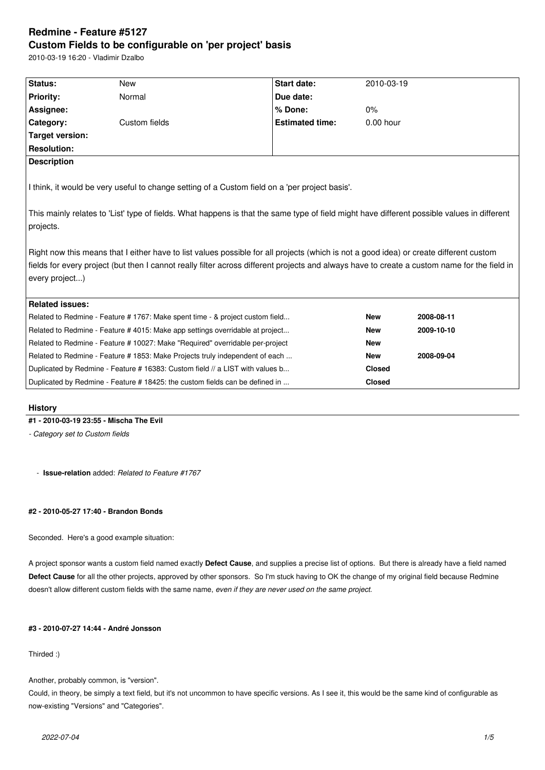# **Redmine - Feature #5127 Custom Fields to be configurable on 'per project' basis**

2010-03-19 16:20 - Vladimir Dzalbo

| Status:                                                                                                                                                                                                                                                                                                  | <b>New</b>    | <b>Start date:</b>     | 2010-03-19    |            |
|----------------------------------------------------------------------------------------------------------------------------------------------------------------------------------------------------------------------------------------------------------------------------------------------------------|---------------|------------------------|---------------|------------|
|                                                                                                                                                                                                                                                                                                          | Normal        | Due date:              |               |            |
| <b>Priority:</b>                                                                                                                                                                                                                                                                                         |               |                        |               |            |
| Assignee:                                                                                                                                                                                                                                                                                                |               | % Done:                | $0\%$         |            |
| Category:                                                                                                                                                                                                                                                                                                | Custom fields | <b>Estimated time:</b> | $0.00$ hour   |            |
| Target version:                                                                                                                                                                                                                                                                                          |               |                        |               |            |
| <b>Resolution:</b>                                                                                                                                                                                                                                                                                       |               |                        |               |            |
| <b>Description</b>                                                                                                                                                                                                                                                                                       |               |                        |               |            |
| I think, it would be very useful to change setting of a Custom field on a 'per project basis'.                                                                                                                                                                                                           |               |                        |               |            |
| This mainly relates to 'List' type of fields. What happens is that the same type of field might have different possible values in different<br>projects.                                                                                                                                                 |               |                        |               |            |
| Right now this means that I either have to list values possible for all projects (which is not a good idea) or create different custom<br>fields for every project (but then I cannot really filter across different projects and always have to create a custom name for the field in<br>every project) |               |                        |               |            |
| <b>Related issues:</b>                                                                                                                                                                                                                                                                                   |               |                        |               |            |
| Related to Redmine - Feature # 1767: Make spent time - & project custom field                                                                                                                                                                                                                            |               |                        | <b>New</b>    | 2008-08-11 |
| Related to Redmine - Feature #4015: Make app settings overridable at project                                                                                                                                                                                                                             |               |                        | <b>New</b>    | 2009-10-10 |
| Related to Redmine - Feature # 10027: Make "Required" overridable per-project                                                                                                                                                                                                                            |               |                        | <b>New</b>    |            |
| Related to Redmine - Feature # 1853: Make Projects truly independent of each                                                                                                                                                                                                                             |               |                        | <b>New</b>    | 2008-09-04 |
| Duplicated by Redmine - Feature # 16383: Custom field // a LIST with values b                                                                                                                                                                                                                            |               |                        | <b>Closed</b> |            |
| Duplicated by Redmine - Feature #18425: the custom fields can be defined in                                                                                                                                                                                                                              |               |                        | <b>Closed</b> |            |
|                                                                                                                                                                                                                                                                                                          |               |                        |               |            |

# **History**

# **#1 - 2010-03-19 23:55 - Mischa The Evil**

*- Category set to Custom fields*

- **Issue-relation** added: *Related to Feature #1767*

# **#2 - 2010-05-27 17:40 - Brandon Bonds**

Seconded. Here's a good example situation:

A project sponsor wants a custom field named exactly **Defect Cause**, and supplies a precise list of options. But there is already have a field named **Defect Cause** for all the other projects, approved by other sponsors. So I'm stuck having to OK the change of my original field because Redmine doesn't allow different custom fields with the same name, *even if they are never used on the same project*.

# **#3 - 2010-07-27 14:44 - André Jonsson**

# Thirded :)

Another, probably common, is "version".

Could, in theory, be simply a text field, but it's not uncommon to have specific versions. As I see it, this would be the same kind of configurable as now-existing "Versions" and "Categories".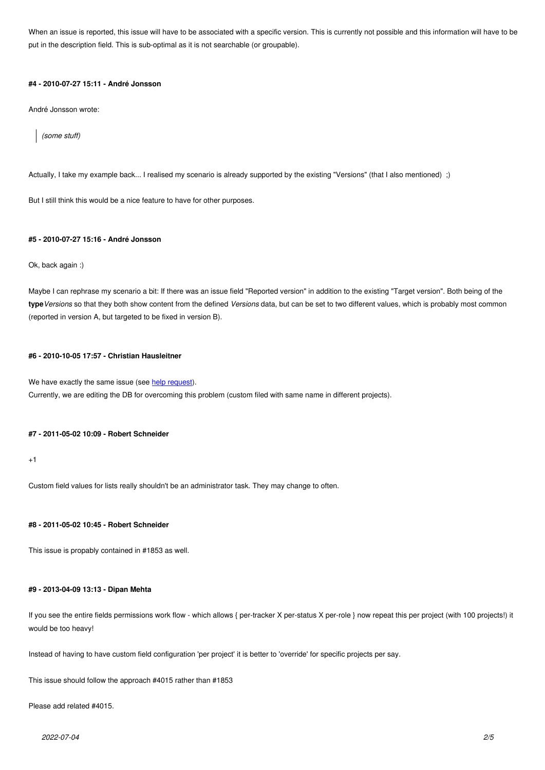put in the description field. This is sub-optimal as it is not searchable (or groupable).

#### **#4 - 2010-07-27 15:11 - André Jonsson**

André Jonsson wrote:

*(some stuff)*

Actually, I take my example back... I realised my scenario is already supported by the existing "Versions" (that I also mentioned) ;)

But I still think this would be a nice feature to have for other purposes.

#### **#5 - 2010-07-27 15:16 - André Jonsson**

Ok, back again :)

Maybe I can rephrase my scenario a bit: If there was an issue field "Reported version" in addition to the existing "Target version". Both being of the **type***Versions* so that they both show content from the defined *Versions* data, but can be set to two different values, which is probably most common (reported in version A, but targeted to be fixed in version B).

#### **#6 - 2010-10-05 17:57 - Christian Hausleitner**

We have exactly the same issue (see help request). Currently, we are editing the DB for overcoming this problem (custom filed with same name in different projects).

#### **#7 - 2011-05-02 10:09 - Robert Schn[eider](http://www.redmine.org/boards/2/topics/11996)**

+1

Custom field values for lists really shouldn't be an administrator task. They may change to often.

# **#8 - 2011-05-02 10:45 - Robert Schneider**

This issue is propably contained in #1853 as well.

# **#9 - 2013-04-09 13:13 - Dipan Mehta**

If you see the entire fields permissions work flow - which allows { per-tracker X per-status X per-role } now repeat this per project (with 100 projects!) it would be too heavy!

Instead of having to have custom field configuration 'per project' it is better to 'override' for specific projects per say.

This issue should follow the approach #4015 rather than #1853

Please add related #4015.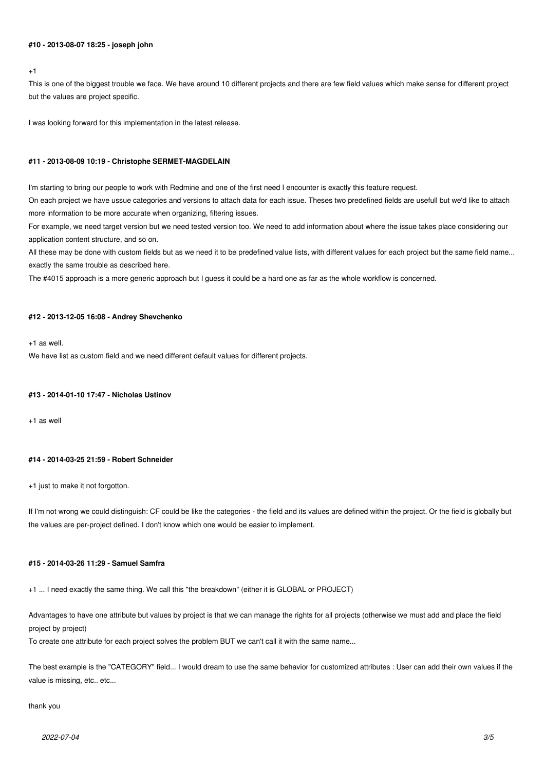# **#10 - 2013-08-07 18:25 - joseph john**

 $+1$ 

This is one of the biggest trouble we face. We have around 10 different projects and there are few field values which make sense for different project but the values are project specific.

I was looking forward for this implementation in the latest release.

#### **#11 - 2013-08-09 10:19 - Christophe SERMET-MAGDELAIN**

I'm starting to bring our people to work with Redmine and one of the first need I encounter is exactly this feature request.

On each project we have ussue categories and versions to attach data for each issue. Theses two predefined fields are usefull but we'd like to attach more information to be more accurate when organizing, filtering issues.

For example, we need target version but we need tested version too. We need to add information about where the issue takes place considering our application content structure, and so on.

All these may be done with custom fields but as we need it to be predefined value lists, with different values for each project but the same field name... exactly the same trouble as described here.

The #4015 approach is a more generic approach but I guess it could be a hard one as far as the whole workflow is concerned.

# **#12 - 2013-12-05 16:08 - Andrey Shevchenko**

 $+1$  as well.

We have list as custom field and we need different default values for different projects.

#### **#13 - 2014-01-10 17:47 - Nicholas Ustinov**

+1 as well

# **#14 - 2014-03-25 21:59 - Robert Schneider**

+1 just to make it not forgotton.

If I'm not wrong we could distinguish: CF could be like the categories - the field and its values are defined within the project. Or the field is globally but the values are per-project defined. I don't know which one would be easier to implement.

# **#15 - 2014-03-26 11:29 - Samuel Samfra**

+1 ... I need exactly the same thing. We call this "the breakdown" (either it is GLOBAL or PROJECT)

Advantages to have one attribute but values by project is that we can manage the rights for all projects (otherwise we must add and place the field project by project)

To create one attribute for each project solves the problem BUT we can't call it with the same name...

The best example is the "CATEGORY" field... I would dream to use the same behavior for customized attributes : User can add their own values if the value is missing, etc.. etc...

# thank you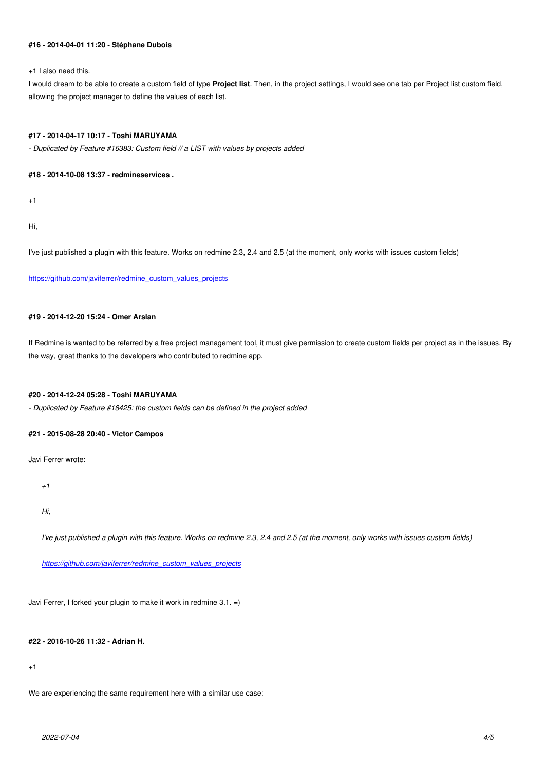#### **#16 - 2014-04-01 11:20 - Stéphane Dubois**

+1 I also need this.

I would dream to be able to create a custom field of type **Project list**. Then, in the project settings, I would see one tab per Project list custom field, allowing the project manager to define the values of each list.

# **#17 - 2014-04-17 10:17 - Toshi MARUYAMA**

*- Duplicated by Feature #16383: Custom field // a LIST with values by projects added*

#### **#18 - 2014-10-08 13:37 - redmineservices .**

 $+1$ 

Hi,

I've just published a plugin with this feature. Works on redmine 2.3, 2.4 and 2.5 (at the moment, only works with issues custom fields)

https://github.com/javiferrer/redmine\_custom\_values\_projects

# **[#19 - 2014-12-20 15:24 - Omer Arslan](https://github.com/javiferrer/redmine_custom_values_projects)**

If Redmine is wanted to be referred by a free project management tool, it must give permission to create custom fields per project as in the issues. By the way, great thanks to the developers who contributed to redmine app.

# **#20 - 2014-12-24 05:28 - Toshi MARUYAMA**

*- Duplicated by Feature #18425: the custom fields can be defined in the project added*

#### **#21 - 2015-08-28 20:40 - Victor Campos**

Javi Ferrer wrote:

*+1*

*Hi,*

*I've just published a plugin with this feature. Works on redmine 2.3, 2.4 and 2.5 (at the moment, only works with issues custom fields)*

*https://github.com/javiferrer/redmine\_custom\_values\_projects*

Jav[i Ferrer, I forked your plugin to make it work in redmine 3.1. =\)](https://github.com/javiferrer/redmine_custom_values_projects)

# **#22 - 2016-10-26 11:32 - Adrian H.**

+1

We are experiencing the same requirement here with a similar use case: